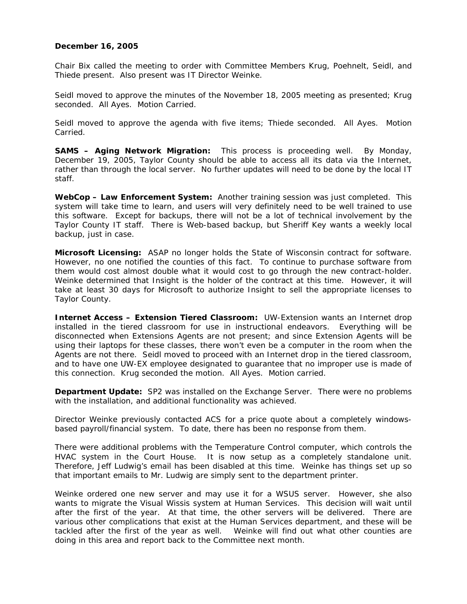## **December 16, 2005**

Chair Bix called the meeting to order with Committee Members Krug, Poehnelt, Seidl, and Thiede present. Also present was IT Director Weinke.

Seidl moved to approve the minutes of the November 18, 2005 meeting as presented; Krug seconded. All Ayes. Motion Carried.

Seidl moved to approve the agenda with five items; Thiede seconded. All Ayes. Motion Carried.

**SAMS – Aging Network Migration:** This process is proceeding well. By Monday, December 19, 2005, Taylor County should be able to access all its data via the Internet, rather than through the local server. No further updates will need to be done by the local IT staff.

**WebCop – Law Enforcement System:** Another training session was just completed. This system will take time to learn, and users will very definitely need to be well trained to use this software. Except for backups, there will not be a lot of technical involvement by the Taylor County IT staff. There is Web-based backup, but Sheriff Key wants a weekly local backup, just in case.

**Microsoft Licensing:** ASAP no longer holds the State of Wisconsin contract for software. However, no one notified the counties of this fact. To continue to purchase software from them would cost almost double what it would cost to go through the new contract-holder. Weinke determined that Insight is the holder of the contract at this time. However, it will take at least 30 days for Microsoft to authorize Insight to sell the appropriate licenses to Taylor County.

**Internet Access – Extension Tiered Classroom:** UW-Extension wants an Internet drop installed in the tiered classroom for use in instructional endeavors. Everything will be disconnected when Extensions Agents are not present; and since Extension Agents will be using their laptops for these classes, there won't even be a computer in the room when the Agents are not there. Seidl moved to proceed with an Internet drop in the tiered classroom, and to have one UW-EX employee designated to guarantee that no improper use is made of this connection. Krug seconded the motion. All Ayes. Motion carried.

**Department Update:** SP2 was installed on the Exchange Server. There were no problems with the installation, and additional functionality was achieved.

Director Weinke previously contacted ACS for a price quote about a completely windowsbased payroll/financial system. To date, there has been no response from them.

There were additional problems with the Temperature Control computer, which controls the HVAC system in the Court House. It is now setup as a completely standalone unit. Therefore, Jeff Ludwig's email has been disabled at this time. Weinke has things set up so that important emails to Mr. Ludwig are simply sent to the department printer.

Weinke ordered one new server and may use it for a WSUS server. However, she also wants to migrate the Visual Wissis system at Human Services. This decision will wait until after the first of the year. At that time, the other servers will be delivered. There are various other complications that exist at the Human Services department, and these will be tackled after the first of the year as well. Weinke will find out what other counties are doing in this area and report back to the Committee next month.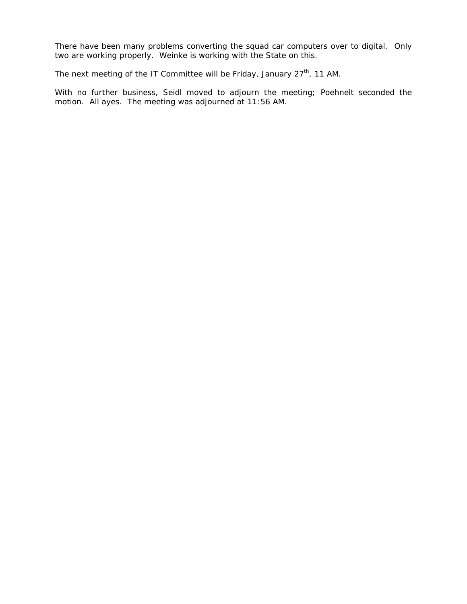There have been many problems converting the squad car computers over to digital. Only two are working properly. Weinke is working with the State on this.

The next meeting of the IT Committee will be Friday, January 27<sup>th</sup>, 11 AM.

With no further business, Seidl moved to adjourn the meeting; Poehnelt seconded the motion. All ayes. The meeting was adjourned at 11:56 AM.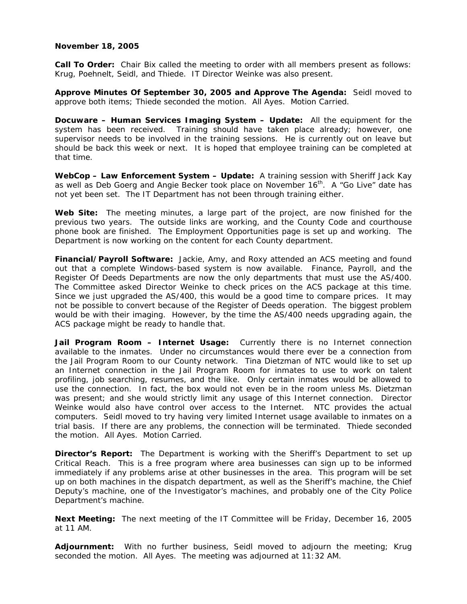#### **November 18, 2005**

**Call To Order:** Chair Bix called the meeting to order with all members present as follows: Krug, Poehnelt, Seidl, and Thiede. IT Director Weinke was also present.

**Approve Minutes Of September 30, 2005 and Approve The Agenda:** Seidl moved to approve both items; Thiede seconded the motion. All Ayes. Motion Carried.

**Docuware – Human Services Imaging System – Update:** All the equipment for the system has been received. Training should have taken place already; however, one supervisor needs to be involved in the training sessions. He is currently out on leave but should be back this week or next. It is hoped that employee training can be completed at that time.

**WebCop – Law Enforcement System – Update:** A training session with Sheriff Jack Kay as well as Deb Goerg and Angie Becker took place on November 16<sup>th</sup>. A "Go Live" date has not yet been set. The IT Department has not been through training either.

**Web Site:** The meeting minutes, a large part of the project, are now finished for the previous two years. The outside links are working, and the County Code and courthouse phone book are finished. The Employment Opportunities page is set up and working. The Department is now working on the content for each County department.

**Financial/Payroll Software:** Jackie, Amy, and Roxy attended an ACS meeting and found out that a complete Windows-based system is now available. Finance, Payroll, and the Register Of Deeds Departments are now the only departments that must use the AS/400. The Committee asked Director Weinke to check prices on the ACS package at this time. Since we just upgraded the AS/400, this would be a good time to compare prices. It may not be possible to convert because of the Register of Deeds operation. The biggest problem would be with their imaging. However, by the time the AS/400 needs upgrading again, the ACS package might be ready to handle that.

**Jail Program Room – Internet Usage:** Currently there is no Internet connection available to the inmates. Under no circumstances would there ever be a connection from the Jail Program Room to our County network. Tina Dietzman of NTC would like to set up an Internet connection in the Jail Program Room for inmates to use to work on talent profiling, job searching, resumes, and the like. Only certain inmates would be allowed to use the connection. In fact, the box would not even be in the room unless Ms. Dietzman was present; and she would strictly limit any usage of this Internet connection. Director Weinke would also have control over access to the Internet. NTC provides the actual computers. Seidl moved to try having very limited Internet usage available to inmates on a trial basis. If there are any problems, the connection will be terminated. Thiede seconded the motion. All Ayes. Motion Carried.

**Director's Report:** The Department is working with the Sheriff's Department to set up Critical Reach. This is a free program where area businesses can sign up to be informed immediately if any problems arise at other businesses in the area. This program will be set up on both machines in the dispatch department, as well as the Sheriff's machine, the Chief Deputy's machine, one of the Investigator's machines, and probably one of the City Police Department's machine.

**Next Meeting:** The next meeting of the IT Committee will be Friday, December 16, 2005 at 11 AM.

**Adjournment:** With no further business, Seidl moved to adjourn the meeting; Krug seconded the motion. All Ayes. The meeting was adjourned at 11:32 AM.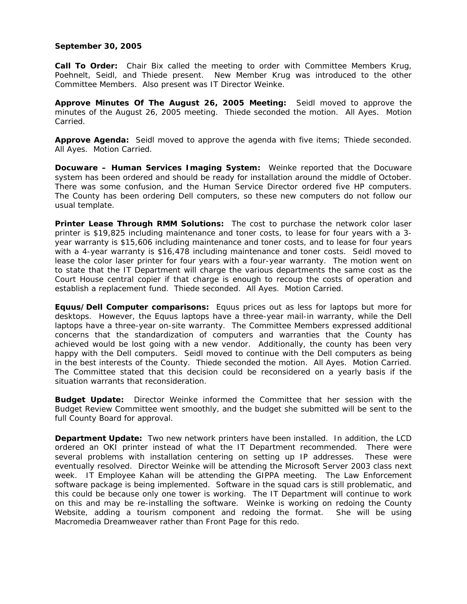## **September 30, 2005**

**Call To Order:** Chair Bix called the meeting to order with Committee Members Krug, Poehnelt, Seidl, and Thiede present. New Member Krug was introduced to the other Committee Members. Also present was IT Director Weinke.

**Approve Minutes Of The August 26, 2005 Meeting:** Seidl moved to approve the minutes of the August 26, 2005 meeting. Thiede seconded the motion. All Ayes. Motion Carried.

**Approve Agenda:** Seidl moved to approve the agenda with five items; Thiede seconded. All Ayes. Motion Carried.

**Docuware – Human Services Imaging System:** Weinke reported that the Docuware system has been ordered and should be ready for installation around the middle of October. There was some confusion, and the Human Service Director ordered five HP computers. The County has been ordering Dell computers, so these new computers do not follow our usual template.

**Printer Lease Through RMM Solutions:** The cost to purchase the network color laser printer is \$19,825 including maintenance and toner costs, to lease for four years with a 3 year warranty is \$15,606 including maintenance and toner costs, and to lease for four years with a 4-year warranty is \$16,478 including maintenance and toner costs. Seidl moved to lease the color laser printer for four years with a four-year warranty. The motion went on to state that the IT Department will charge the various departments the same cost as the Court House central copier if that charge is enough to recoup the costs of operation and establish a replacement fund. Thiede seconded. All Ayes. Motion Carried.

**Equus/Dell Computer comparisons:** Equus prices out as less for laptops but more for desktops. However, the Equus laptops have a three-year *mail-in* warranty, while the Dell laptops have a three-year *on-site* warranty. The Committee Members expressed additional concerns that the standardization of computers and warranties that the County has achieved would be lost going with a new vendor. Additionally, the county has been very happy with the Dell computers. Seidl moved to continue with the Dell computers as being in the best interests of the County. Thiede seconded the motion. All Ayes. Motion Carried. The Committee stated that this decision could be reconsidered on a yearly basis if the situation warrants that reconsideration.

**Budget Update:** Director Weinke informed the Committee that her session with the Budget Review Committee went smoothly, and the budget she submitted will be sent to the full County Board for approval.

**Department Update:** Two new network printers have been installed. In addition, the LCD ordered an OKI printer instead of what the IT Department recommended. There were several problems with installation centering on setting up IP addresses. These were eventually resolved. Director Weinke will be attending the Microsoft Server 2003 class next week. IT Employee Kahan will be attending the GIPPA meeting. The Law Enforcement software package is being implemented. Software in the squad cars is still problematic, and this could be because only one tower is working. The IT Department will continue to work on this and may be re-installing the software. Weinke is working on redoing the County Website, adding a tourism component and redoing the format. She will be using Macromedia Dreamweaver rather than Front Page for this redo.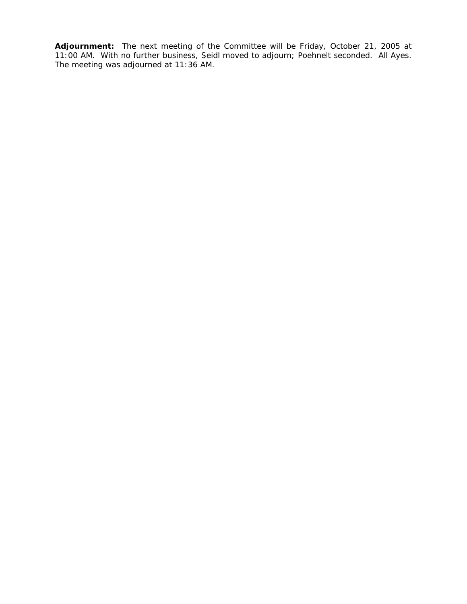**Adjournment:** The next meeting of the Committee will be Friday, October 21, 2005 at 11:00 AM.With no further business, Seidl moved to adjourn; Poehnelt seconded. All Ayes. The meeting was adjourned at 11:36 AM.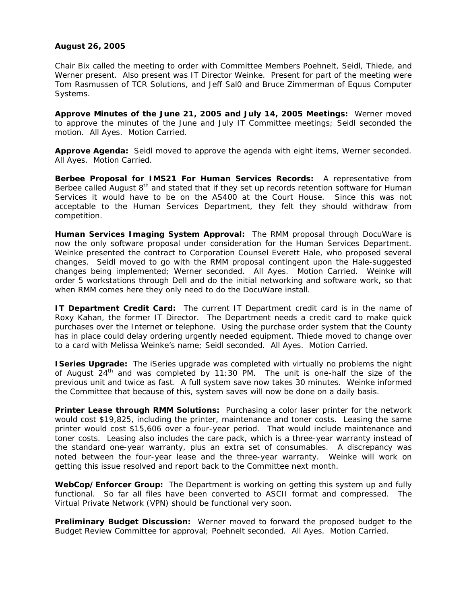# **August 26, 2005**

Chair Bix called the meeting to order with Committee Members Poehnelt, Seidl, Thiede, and Werner present. Also present was IT Director Weinke. Present for part of the meeting were Tom Rasmussen of TCR Solutions, and Jeff Sal0 and Bruce Zimmerman of Equus Computer Systems.

**Approve Minutes of the June 21, 2005 and July 14, 2005 Meetings:** Werner moved to approve the minutes of the June and July IT Committee meetings; Seidl seconded the motion. All Ayes. Motion Carried.

**Approve Agenda:** Seidl moved to approve the agenda with eight items, Werner seconded. All Ayes. Motion Carried.

**Berbee Proposal for IMS21 For Human Services Records:** A representative from Berbee called August 8<sup>th</sup> and stated that if they set up records retention software for Human Services it would have to be on the AS400 at the Court House. Since this was not acceptable to the Human Services Department, they felt they should withdraw from competition.

**Human Services Imaging System Approval:** The RMM proposal through DocuWare is now the only software proposal under consideration for the Human Services Department. Weinke presented the contract to Corporation Counsel Everett Hale, who proposed several changes. Seidl moved to go with the RMM proposal contingent upon the Hale-suggested changes being implemented; Werner seconded. All Ayes. Motion Carried. Weinke will order 5 workstations through Dell and do the initial networking and software work, so that when RMM comes here they only need to do the DocuWare install.

**IT Department Credit Card:** The current IT Department credit card is in the name of Roxy Kahan, the former IT Director. The Department needs a credit card to make quick purchases over the Internet or telephone. Using the purchase order system that the County has in place could delay ordering urgently needed equipment. Thiede moved to change over to a card with Melissa Weinke's name; Seidl seconded. All Ayes. Motion Carried.

**ISeries Upgrade:** The iSeries upgrade was completed with virtually no problems the night of August  $24<sup>th</sup>$  and was completed by 11:30 PM. The unit is one-half the size of the previous unit and twice as fast. A full system save now takes 30 minutes. Weinke informed the Committee that because of this, system saves will now be done on a daily basis.

**Printer Lease through RMM Solutions:** Purchasing a color laser printer for the network would cost \$19,825, including the printer, maintenance and toner costs. Leasing the same printer would cost \$15,606 over a four-year period. That would include maintenance and toner costs. Leasing also includes the care pack, which is a three-year warranty instead of the standard one-year warranty, plus an extra set of consumables. A discrepancy was noted between the four-year lease and the three-year warranty. Weinke will work on getting this issue resolved and report back to the Committee next month.

**WebCop/Enforcer Group:** The Department is working on getting this system up and fully functional. So far all files have been converted to ASCII format and compressed. The Virtual Private Network (VPN) should be functional very soon.

**Preliminary Budget Discussion:** Werner moved to forward the proposed budget to the Budget Review Committee for approval; Poehnelt seconded. All Ayes. Motion Carried.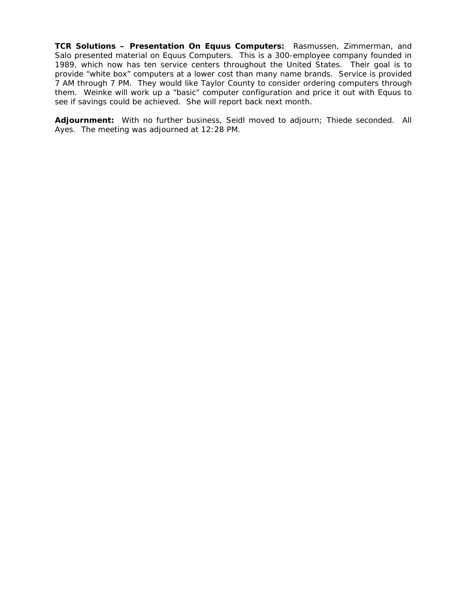**TCR Solutions – Presentation On Equus Computers:** Rasmussen, Zimmerman, and Salo presented material on Equus Computers. This is a 300-employee company founded in 1989, which now has ten service centers throughout the United States. Their goal is to provide "white box" computers at a lower cost than many name brands. Service is provided 7 AM through 7 PM. They would like Taylor County to consider ordering computers through them. Weinke will work up a "basic" computer configuration and price it out with Equus to see if savings could be achieved. She will report back next month.

**Adjournment:** With no further business, Seidl moved to adjourn; Thiede seconded. All Ayes. The meeting was adjourned at 12:28 PM.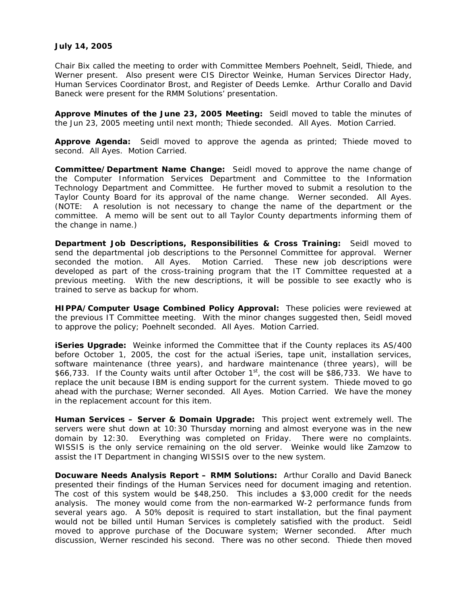## **July 14, 2005**

Chair Bix called the meeting to order with Committee Members Poehnelt, Seidl, Thiede, and Werner present. Also present were CIS Director Weinke, Human Services Director Hady, Human Services Coordinator Brost, and Register of Deeds Lemke. Arthur Corallo and David Baneck were present for the RMM Solutions' presentation.

**Approve Minutes of the June 23, 2005 Meeting:** Seidl moved to table the minutes of the Jun 23, 2005 meeting until next month; Thiede seconded. All Ayes. Motion Carried.

**Approve Agenda:** Seidl moved to approve the agenda as printed; Thiede moved to second. All Ayes. Motion Carried.

**Committee/Department Name Change:** Seidl moved to approve the name change of the Computer Information Services Department and Committee to the Information Technology Department and Committee. He further moved to submit a resolution to the Taylor County Board for its approval of the name change. Werner seconded. All Ayes. (NOTE: A resolution is not necessary to change the name of the department or the committee. A memo will be sent out to all Taylor County departments informing them of the change in name.)

**Department Job Descriptions, Responsibilities & Cross Training:** Seidl moved to send the departmental job descriptions to the Personnel Committee for approval. Werner seconded the motion. All Ayes. Motion Carried. These new job descriptions were developed as part of the cross-training program that the IT Committee requested at a previous meeting. With the new descriptions, it will be possible to see exactly who is trained to serve as backup for whom.

**HIPPA/Computer Usage Combined Policy Approval:** These policies were reviewed at the previous IT Committee meeting. With the minor changes suggested then, Seidl moved to approve the policy; Poehnelt seconded. All Ayes. Motion Carried.

**iSeries Upgrade:** Weinke informed the Committee that if the County replaces its AS/400 before October 1, 2005, the cost for the actual iSeries, tape unit, installation services, software maintenance (three years), and hardware maintenance (three years), will be \$66,733. If the County waits until after October  $1<sup>st</sup>$ , the cost will be \$86,733. We have to replace the unit because IBM is ending support for the current system. Thiede moved to go ahead with the purchase; Werner seconded. All Ayes. Motion Carried. We have the money in the replacement account for this item.

**Human Services – Server & Domain Upgrade:** This project went extremely well. The servers were shut down at 10:30 Thursday morning and almost everyone was in the new domain by 12:30. Everything was completed on Friday. There were no complaints. WISSIS is the only service remaining on the old server. Weinke would like Zamzow to assist the IT Department in changing WISSIS over to the new system.

**Docuware Needs Analysis Report – RMM Solutions:** Arthur Corallo and David Baneck presented their findings of the Human Services need for document imaging and retention. The cost of this system would be \$48,250. This includes a \$3,000 credit for the needs analysis. The money would come from the non-earmarked W-2 performance funds from several years ago. A 50% deposit is required to start installation, but the final payment would not be billed until Human Services is completely satisfied with the product. Seidl moved to approve purchase of the Docuware system; Werner seconded. After much discussion, Werner rescinded his second. There was no other second. Thiede then moved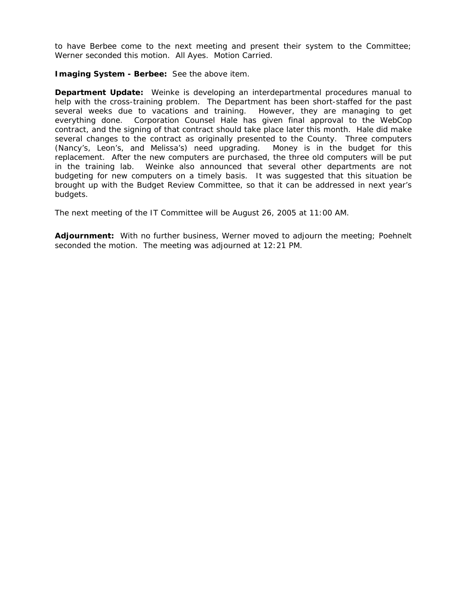to have Berbee come to the next meeting and present their system to the Committee; Werner seconded this motion. All Ayes. Motion Carried.

**Imaging System - Berbee:** See the above item.

**Department Update:** Weinke is developing an interdepartmental procedures manual to help with the cross-training problem. The Department has been short-staffed for the past several weeks due to vacations and training. However, they are managing to get everything done. Corporation Counsel Hale has given final approval to the WebCop contract, and the signing of that contract should take place later this month. Hale did make several changes to the contract as originally presented to the County. Three computers (Nancy's, Leon's, and Melissa's) need upgrading. Money is in the budget for this replacement. After the new computers are purchased, the three old computers will be put in the training lab. Weinke also announced that several other departments are not budgeting for new computers on a timely basis. It was suggested that this situation be brought up with the Budget Review Committee, so that it can be addressed in next year's budgets.

The next meeting of the IT Committee will be August 26, 2005 at 11:00 AM.

**Adjournment:** With no further business, Werner moved to adjourn the meeting; Poehnelt seconded the motion. The meeting was adjourned at 12:21 PM.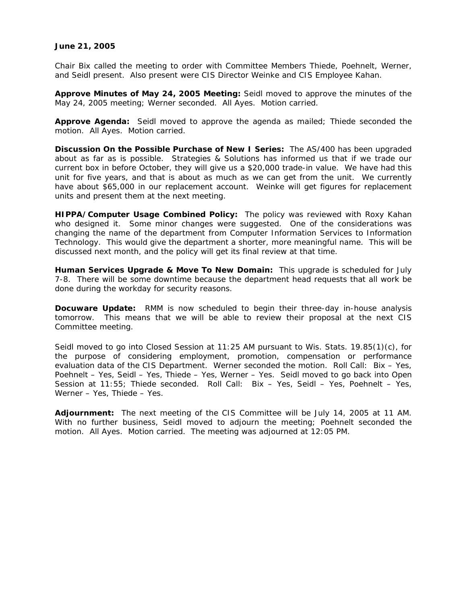## **June 21, 2005**

Chair Bix called the meeting to order with Committee Members Thiede, Poehnelt, Werner, and Seidl present. Also present were CIS Director Weinke and CIS Employee Kahan.

**Approve Minutes of May 24, 2005 Meeting:** Seidl moved to approve the minutes of the May 24, 2005 meeting; Werner seconded. All Ayes. Motion carried.

**Approve Agenda:** Seidl moved to approve the agenda as mailed; Thiede seconded the motion. All Ayes. Motion carried.

**Discussion On the Possible Purchase of New I Series:** The AS/400 has been upgraded about as far as is possible. Strategies & Solutions has informed us that if we trade our current box in before October, they will give us a \$20,000 trade-in value. We have had this unit for five years, and that is about as much as we can get from the unit. We currently have about \$65,000 in our replacement account. Weinke will get figures for replacement units and present them at the next meeting.

**HIPPA/Computer Usage Combined Policy:** The policy was reviewed with Roxy Kahan who designed it. Some minor changes were suggested. One of the considerations was changing the name of the department from Computer Information Services to Information Technology. This would give the department a shorter, more meaningful name. This will be discussed next month, and the policy will get its final review at that time.

**Human Services Upgrade & Move To New Domain:** This upgrade is scheduled for July 7-8. There will be some downtime because the department head requests that all work be done during the workday for security reasons.

**Docuware Update:** RMM is now scheduled to begin their three-day in-house analysis tomorrow. This means that we will be able to review their proposal at the next CIS Committee meeting.

Seidl moved to go into Closed Session at 11:25 AM pursuant to Wis. Stats. 19.85(1)(c), for the purpose of considering employment, promotion, compensation or performance evaluation data of the CIS Department. Werner seconded the motion. Roll Call: Bix – Yes, Poehnelt – Yes, Seidl – Yes, Thiede – Yes, Werner – Yes. Seidl moved to go back into Open Session at 11:55; Thiede seconded. Roll Call: Bix – Yes, Seidl – Yes, Poehnelt – Yes, Werner – Yes, Thiede – Yes.

**Adjournment:** The next meeting of the CIS Committee will be July 14, 2005 at 11 AM. With no further business, Seidl moved to adjourn the meeting; Poehnelt seconded the motion. All Ayes. Motion carried. The meeting was adjourned at 12:05 PM.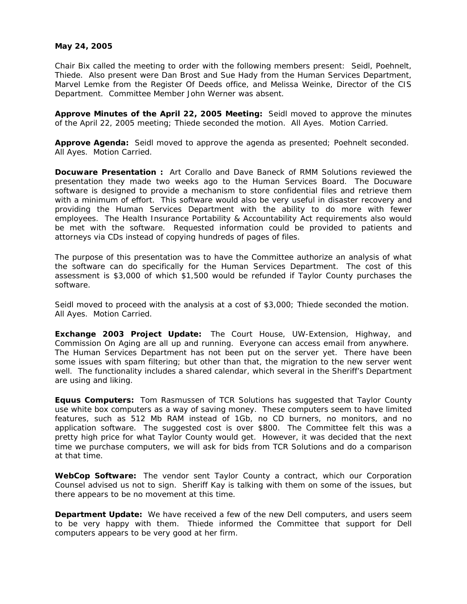## **May 24, 2005**

Chair Bix called the meeting to order with the following members present: Seidl, Poehnelt, Thiede. Also present were Dan Brost and Sue Hady from the Human Services Department, Marvel Lemke from the Register Of Deeds office, and Melissa Weinke, Director of the CIS Department. Committee Member John Werner was absent.

**Approve Minutes of the April 22, 2005 Meeting:** Seidl moved to approve the minutes of the April 22, 2005 meeting; Thiede seconded the motion. All Ayes. Motion Carried.

**Approve Agenda:** Seidl moved to approve the agenda as presented; Poehnelt seconded. All Ayes. Motion Carried.

**Docuware Presentation :** Art Corallo and Dave Baneck of RMM Solutions reviewed the presentation they made two weeks ago to the Human Services Board. The Docuware software is designed to provide a mechanism to store confidential files and retrieve them with a minimum of effort. This software would also be very useful in disaster recovery and providing the Human Services Department with the ability to do more with fewer employees. The Health Insurance Portability & Accountability Act requirements also would be met with the software. Requested information could be provided to patients and attorneys via CDs instead of copying hundreds of pages of files.

The purpose of this presentation was to have the Committee authorize an analysis of what the software can do specifically for the Human Services Department. The cost of this assessment is \$3,000 of which \$1,500 would be refunded if Taylor County purchases the software.

Seidl moved to proceed with the analysis at a cost of \$3,000; Thiede seconded the motion. All Ayes. Motion Carried.

**Exchange 2003 Project Update:** The Court House, UW-Extension, Highway, and Commission On Aging are all up and running. Everyone can access email from anywhere. The Human Services Department has not been put on the server yet. There have been some issues with spam filtering; but other than that, the migration to the new server went well. The functionality includes a shared calendar, which several in the Sheriff's Department are using and liking.

**Equus Computers:** Tom Rasmussen of TCR Solutions has suggested that Taylor County use white box computers as a way of saving money. These computers seem to have limited features, such as 512 Mb RAM instead of 1Gb, no CD burners, no monitors, and no application software. The suggested cost is over \$800. The Committee felt this was a pretty high price for what Taylor County would get. However, it was decided that the next time we purchase computers, we will ask for bids from TCR Solutions and do a comparison at that time.

**WebCop Software:** The vendor sent Taylor County a contract, which our Corporation Counsel advised us not to sign. Sheriff Kay is talking with them on some of the issues, but there appears to be no movement at this time.

**Department Update:** We have received a few of the new Dell computers, and users seem to be very happy with them. Thiede informed the Committee that support for Dell computers appears to be very good at her firm.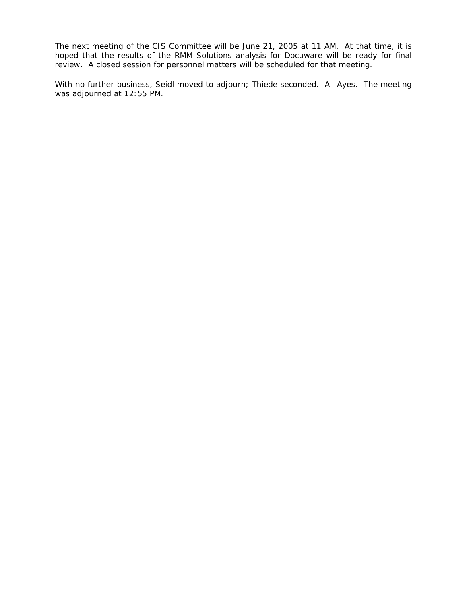The next meeting of the CIS Committee will be June 21, 2005 at 11 AM. At that time, it is hoped that the results of the RMM Solutions analysis for Docuware will be ready for final review. A closed session for personnel matters will be scheduled for that meeting.

With no further business, Seidl moved to adjourn; Thiede seconded. All Ayes. The meeting was adjourned at 12:55 PM.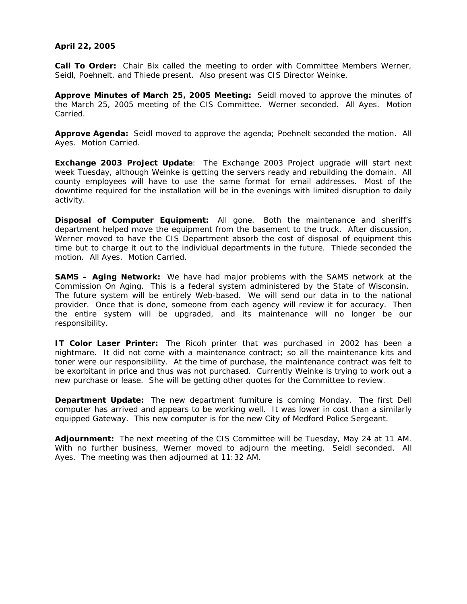# **April 22, 2005**

**Call To Order:** Chair Bix called the meeting to order with Committee Members Werner, Seidl, Poehnelt, and Thiede present. Also present was CIS Director Weinke.

**Approve Minutes of March 25, 2005 Meeting:** Seidl moved to approve the minutes of the March 25, 2005 meeting of the CIS Committee. Werner seconded. All Ayes. Motion Carried.

**Approve Agenda:** Seidl moved to approve the agenda; Poehnelt seconded the motion. All Ayes. Motion Carried.

**Exchange 2003 Project Update**: The Exchange 2003 Project upgrade will start next week Tuesday, although Weinke is getting the servers ready and rebuilding the domain. All county employees will have to use the same format for email addresses. Most of the downtime required for the installation will be in the evenings with limited disruption to daily activity.

**Disposal of Computer Equipment:** All gone. Both the maintenance and sheriff's department helped move the equipment from the basement to the truck. After discussion, Werner moved to have the CIS Department absorb the cost of disposal of equipment this time but to charge it out to the individual departments in the future. Thiede seconded the motion. All Ayes. Motion Carried.

**SAMS – Aging Network:** We have had major problems with the SAMS network at the Commission On Aging. This is a federal system administered by the State of Wisconsin. The future system will be entirely Web-based. We will send our data in to the national provider. Once that is done, someone from each agency will review it for accuracy. Then the entire system will be upgraded, and its maintenance will no longer be our responsibility.

**IT Color Laser Printer:** The Ricoh printer that was purchased in 2002 has been a nightmare. It did not come with a maintenance contract; so all the maintenance kits and toner were our responsibility. At the time of purchase, the maintenance contract was felt to be exorbitant in price and thus was not purchased. Currently Weinke is trying to work out a new purchase or lease. She will be getting other quotes for the Committee to review.

**Department Update:** The new department furniture is coming Monday. The first Dell computer has arrived and appears to be working well. It was lower in cost than a similarly equipped Gateway. This new computer is for the new City of Medford Police Sergeant.

**Adjournment:** The next meeting of the CIS Committee will be Tuesday, May 24 at 11 AM. With no further business, Werner moved to adjourn the meeting. Seidl seconded. All Ayes. The meeting was then adjourned at 11:32 AM.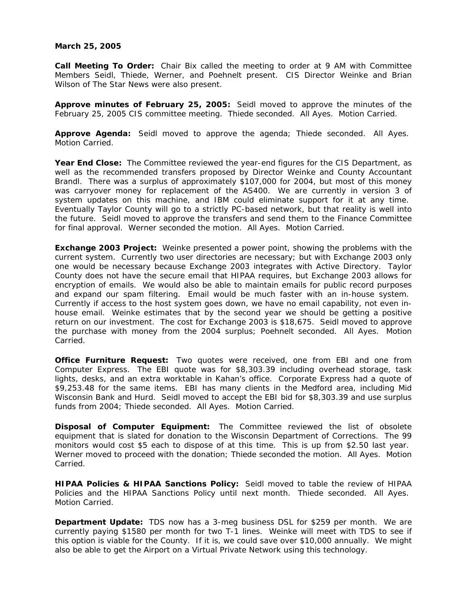#### **March 25, 2005**

**Call Meeting To Order:** Chair Bix called the meeting to order at 9 AM with Committee Members Seidl, Thiede, Werner, and Poehnelt present. CIS Director Weinke and Brian Wilson of The Star News were also present.

**Approve minutes of February 25, 2005:** Seidl moved to approve the minutes of the February 25, 2005 CIS committee meeting. Thiede seconded. All Ayes. Motion Carried.

**Approve Agenda:** Seidl moved to approve the agenda; Thiede seconded. All Ayes. Motion Carried.

**Year End Close:** The Committee reviewed the year-end figures for the CIS Department, as well as the recommended transfers proposed by Director Weinke and County Accountant Brandl. There was a surplus of approximately \$107,000 for 2004, but most of this money was carryover money for replacement of the AS400. We are currently in version 3 of system updates on this machine, and IBM could eliminate support for it at any time. Eventually Taylor County will go to a strictly PC-based network, but that reality is well into the future. Seidl moved to approve the transfers and send them to the Finance Committee for final approval. Werner seconded the motion. All Ayes. Motion Carried.

**Exchange 2003 Project:** Weinke presented a power point, showing the problems with the current system. Currently two user directories are necessary; but with Exchange 2003 only one would be necessary because Exchange 2003 integrates with Active Directory. Taylor County does not have the secure email that HIPAA requires, but Exchange 2003 allows for encryption of emails. We would also be able to maintain emails for public record purposes and expand our spam filtering. Email would be much faster with an in-house system. Currently if access to the host system goes down, we have no email capability, not even inhouse email. Weinke estimates that by the second year we should be getting a positive return on our investment. The cost for Exchange 2003 is \$18,675. Seidl moved to approve the purchase with money from the 2004 surplus; Poehnelt seconded. All Ayes. Motion Carried.

**Office Furniture Request:** Two quotes were received, one from EBI and one from Computer Express. The EBI quote was for \$8,303.39 including overhead storage, task lights, desks, and an extra worktable in Kahan's office. Corporate Express had a quote of \$9,253.48 for the same items. EBI has many clients in the Medford area, including Mid Wisconsin Bank and Hurd. Seidl moved to accept the EBI bid for \$8,303.39 and use surplus funds from 2004; Thiede seconded. All Ayes. Motion Carried.

**Disposal of Computer Equipment:** The Committee reviewed the list of obsolete equipment that is slated for donation to the Wisconsin Department of Corrections. The 99 monitors would cost \$5 each to dispose of at this time. This is up from \$2.50 last year. Werner moved to proceed with the donation; Thiede seconded the motion. All Ayes. Motion Carried.

**HIPAA Policies & HIPAA Sanctions Policy:** Seidl moved to table the review of HIPAA Policies and the HIPAA Sanctions Policy until next month. Thiede seconded. All Ayes. Motion Carried.

**Department Update:** TDS now has a 3-meg business DSL for \$259 per month. We are currently paying \$1580 per month for two T-1 lines. Weinke will meet with TDS to see if this option is viable for the County. If it is, we could save over \$10,000 annually. We might also be able to get the Airport on a Virtual Private Network using this technology.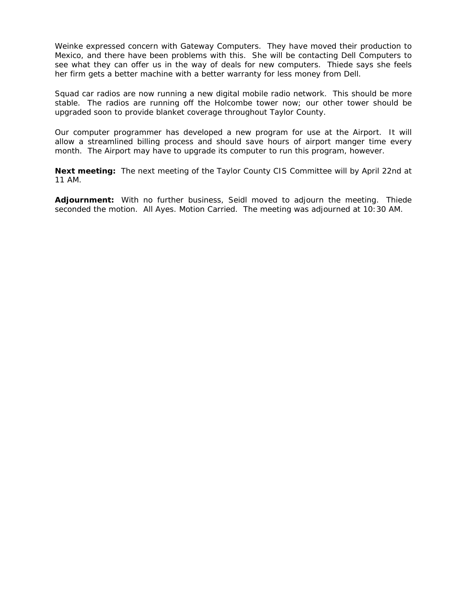Weinke expressed concern with Gateway Computers. They have moved their production to Mexico, and there have been problems with this. She will be contacting Dell Computers to see what they can offer us in the way of deals for new computers. Thiede says she feels her firm gets a better machine with a better warranty for less money from Dell.

Squad car radios are now running a new digital mobile radio network. This should be more stable. The radios are running off the Holcombe tower now; our other tower should be upgraded soon to provide blanket coverage throughout Taylor County.

Our computer programmer has developed a new program for use at the Airport. It will allow a streamlined billing process and should save hours of airport manger time every month. The Airport may have to upgrade its computer to run this program, however.

**Next meeting:** The next meeting of the Taylor County CIS Committee will by April 22nd at 11 AM.

**Adjournment:** With no further business, Seidl moved to adjourn the meeting. Thiede seconded the motion. All Ayes. Motion Carried. The meeting was adjourned at 10:30 AM.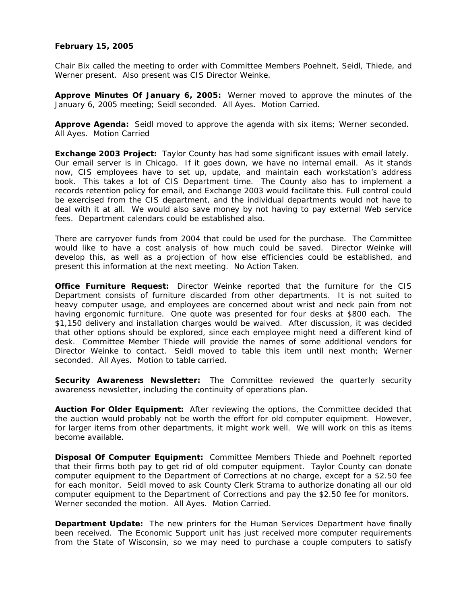# **February 15, 2005**

Chair Bix called the meeting to order with Committee Members Poehnelt, Seidl, Thiede, and Werner present. Also present was CIS Director Weinke.

**Approve Minutes Of January 6, 2005:** Werner moved to approve the minutes of the January 6, 2005 meeting; Seidl seconded. All Ayes. Motion Carried.

**Approve Agenda:** Seidl moved to approve the agenda with six items; Werner seconded. All Ayes. Motion Carried

**Exchange 2003 Project:** Taylor County has had some significant issues with email lately. Our email server is in Chicago. If it goes down, we have no internal email. As it stands now, CIS employees have to set up, update, and maintain each workstation's address book. This takes a lot of CIS Department time. The County also has to implement a records retention policy for email, and Exchange 2003 would facilitate this. Full control could be exercised from the CIS department, and the individual departments would not have to deal with it at all. We would also save money by not having to pay external Web service fees. Department calendars could be established also.

There are carryover funds from 2004 that could be used for the purchase. The Committee would like to have a cost analysis of how much could be saved. Director Weinke will develop this, as well as a projection of how else efficiencies could be established, and present this information at the next meeting. No Action Taken.

**Office Furniture Request:** Director Weinke reported that the furniture for the CIS Department consists of furniture discarded from other departments. It is not suited to heavy computer usage, and employees are concerned about wrist and neck pain from not having ergonomic furniture. One quote was presented for four desks at \$800 each. The \$1,150 delivery and installation charges would be waived. After discussion, it was decided that other options should be explored, since each employee might need a different kind of desk. Committee Member Thiede will provide the names of some additional vendors for Director Weinke to contact. Seidl moved to table this item until next month; Werner seconded. All Ayes. Motion to table carried.

**Security Awareness Newsletter:** The Committee reviewed the quarterly security awareness newsletter, including the continuity of operations plan.

**Auction For Older Equipment:** After reviewing the options, the Committee decided that the auction would probably not be worth the effort for old computer equipment. However, for larger items from other departments, it might work well. We will work on this as items become available.

**Disposal Of Computer Equipment:** Committee Members Thiede and Poehnelt reported that their firms both pay to get rid of old computer equipment. Taylor County can donate computer equipment to the Department of Corrections at no charge, except for a \$2.50 fee for each monitor. Seidl moved to ask County Clerk Strama to authorize donating all our old computer equipment to the Department of Corrections and pay the \$2.50 fee for monitors. Werner seconded the motion. All Ayes. Motion Carried.

**Department Update:** The new printers for the Human Services Department have finally been received. The Economic Support unit has just received more computer requirements from the State of Wisconsin, so we may need to purchase a couple computers to satisfy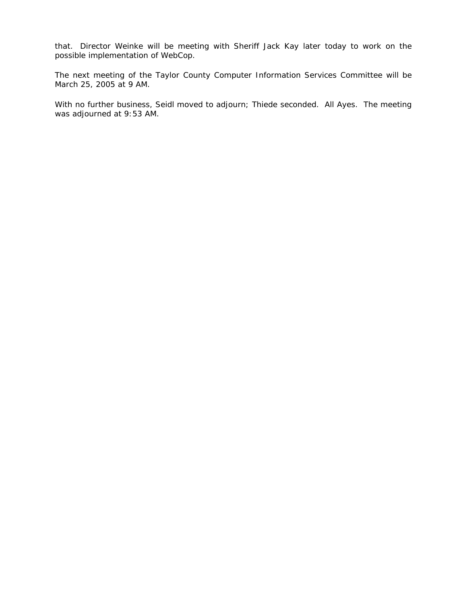that. Director Weinke will be meeting with Sheriff Jack Kay later today to work on the possible implementation of WebCop.

The next meeting of the Taylor County Computer Information Services Committee will be March 25, 2005 at 9 AM.

With no further business, Seidl moved to adjourn; Thiede seconded. All Ayes. The meeting was adjourned at 9:53 AM.